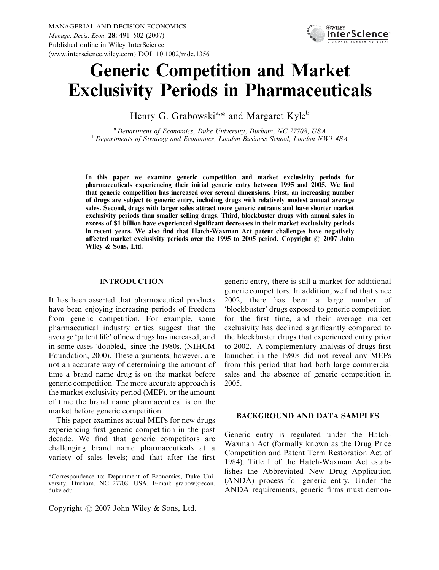

# Generic Competition and Market Exclusivity Periods in Pharmaceuticals

Henry G. Grabowski<sup>a,\*</sup> and Margaret Kyle<sup>b</sup>

<sup>a</sup> Department of Economics, Duke University, Durham, NC 27708, USA <sup>b</sup> Departments of Strategy and Economics, London Business School, London NW1 4SA

In this paper we examine generic competition and market exclusivity periods for pharmaceuticals experiencing their initial generic entry between 1995 and 2005. We find that generic competition has increased over several dimensions. First, an increasing number of drugs are subject to generic entry, including drugs with relatively modest annual average sales. Second, drugs with larger sales attract more generic entrants and have shorter market exclusivity periods than smaller selling drugs. Third, blockbuster drugs with annual sales in excess of \$1 billion have experienced significant decreases in their market exclusivity periods in recent years. We also find that Hatch-Waxman Act patent challenges have negatively affected market exclusivity periods over the  $1995$  to 2005 period. Copyright  $\odot$  2007 John Wiley & Sons, Ltd.

# INTRODUCTION

It has been asserted that pharmaceutical products have been enjoying increasing periods of freedom from generic competition. For example, some pharmaceutical industry critics suggest that the average 'patent life' of new drugs has increased, and in some cases 'doubled,' since the 1980s. (NIHCM Foundation, 2000). These arguments, however, are not an accurate way of determining the amount of time a brand name drug is on the market before generic competition. The more accurate approach is the market exclusivity period (MEP), or the amount of time the brand name pharmaceutical is on the market before generic competition.

This paper examines actual MEPs for new drugs experiencing first generic competition in the past decade. We find that generic competitors are challenging brand name pharmaceuticals at a variety of sales levels; and that after the first

Copyright  $\odot$  2007 John Wiley & Sons, Ltd.

generic entry, there is still a market for additional generic competitors. In addition, we find that since 2002, there has been a large number of 'blockbuster' drugs exposed to generic competition for the first time, and their average market exclusivity has declined significantly compared to the blockbuster drugs that experienced entry prior to  $2002<sup>1</sup>$ . A complementary analysis of drugs first launched in the 1980s did not reveal any MEPs from this period that had both large commercial sales and the absence of generic competition in 2005.

#### BACKGROUND AND DATA SAMPLES

Generic entry is regulated under the Hatch-Waxman Act (formally known as the Drug Price Competition and Patent Term Restoration Act of 1984). Title I of the Hatch-Waxman Act establishes the Abbreviated New Drug Application (ANDA) process for generic entry. Under the ANDA requirements, generic firms must demon-

<sup>\*</sup>Correspondence to: Department of Economics, Duke University, Durham, NC 27708, USA. E-mail: grabow@econ. duke.edu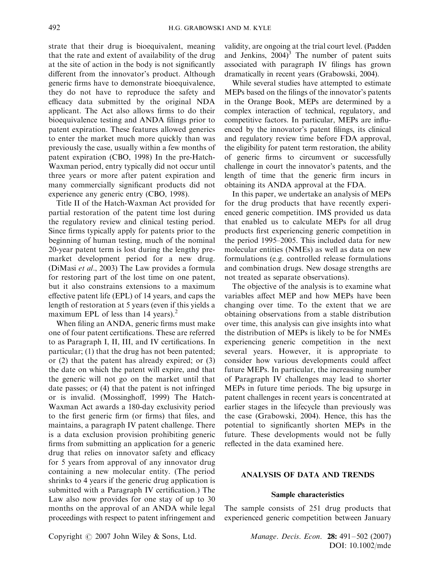strate that their drug is bioequivalent, meaning that the rate and extent of availability of the drug at the site of action in the body is not significantly different from the innovator's product. Although generic firms have to demonstrate bioequivalence, they do not have to reproduce the safety and efficacy data submitted by the original NDA applicant. The Act also allows firms to do their bioequivalence testing and ANDA filings prior to patent expiration. These features allowed generics to enter the market much more quickly than was previously the case, usually within a few months of patent expiration (CBO, 1998) In the pre-Hatch-Waxman period, entry typically did not occur until three years or more after patent expiration and many commercially significant products did not experience any generic entry (CBO, 1998).

Title II of the Hatch-Waxman Act provided for partial restoration of the patent time lost during the regulatory review and clinical testing period. Since firms typically apply for patents prior to the beginning of human testing, much of the nominal 20-year patent term is lost during the lengthy premarket development period for a new drug. (DiMasi et al., 2003) The Law provides a formula for restoring part of the lost time on one patent, but it also constrains extensions to a maximum effective patent life (EPL) of 14 years, and caps the length of restoration at 5 years (even if this yields a maximum EPL of less than 14 years). $<sup>2</sup>$ </sup>

When filing an ANDA, generic firms must make one of four patent certifications. These are referred to as Paragraph I, II, III, and IV certifications. In particular; (1) that the drug has not been patented; or (2) that the patent has already expired; or (3) the date on which the patent will expire, and that the generic will not go on the market until that date passes; or (4) that the patent is not infringed or is invalid. (Mossinghoff, 1999) The Hatch-Waxman Act awards a 180-day exclusivity period to the first generic firm (or firms) that files, and maintains, a paragraph IV patent challenge. There is a data exclusion provision prohibiting generic firms from submitting an application for a generic drug that relies on innovator safety and efficacy for 5 years from approval of any innovator drug containing a new molecular entity. (The period shrinks to 4 years if the generic drug application is submitted with a Paragraph IV certification.) The Law also now provides for one stay of up to 30 months on the approval of an ANDA while legal proceedings with respect to patent infringement and

validity, are ongoing at the trial court level. (Padden and Jenkins,  $2004$ <sup>3</sup> The number of patent suits associated with paragraph IV filings has grown dramatically in recent years (Grabowski, 2004).

While several studies have attempted to estimate MEPs based on the filings of the innovator's patents in the Orange Book, MEPs are determined by a complex interaction of technical, regulatory, and competitive factors. In particular, MEPs are influenced by the innovator's patent filings, its clinical and regulatory review time before FDA approval, the eligibility for patent term restoration, the ability of generic firms to circumvent or successfully challenge in court the innovator's patents, and the length of time that the generic firm incurs in obtaining its ANDA approval at the FDA.

In this paper, we undertake an analysis of MEPs for the drug products that have recently experienced generic competition. IMS provided us data that enabled us to calculate MEPs for all drug products first experiencing generic competition in the period 1995–2005. This included data for new molecular entities (NMEs) as well as data on new formulations (e.g. controlled release formulations and combination drugs. New dosage strengths are not treated as separate observations).

The objective of the analysis is to examine what variables affect MEP and how MEPs have been changing over time. To the extent that we are obtaining observations from a stable distribution over time, this analysis can give insights into what the distribution of MEPs is likely to be for NMEs experiencing generic competition in the next several years. However, it is appropriate to consider how various developments could affect future MEPs. In particular, the increasing number of Paragraph IV challenges may lead to shorter MEPs in future time periods. The big upsurge in patent challenges in recent years is concentrated at earlier stages in the lifecycle than previously was the case (Grabowski, 2004). Hence, this has the potential to significantly shorten MEPs in the future. These developments would not be fully reflected in the data examined here.

# ANALYSIS OF DATA AND TRENDS

#### Sample characteristics

The sample consists of 251 drug products that experienced generic competition between January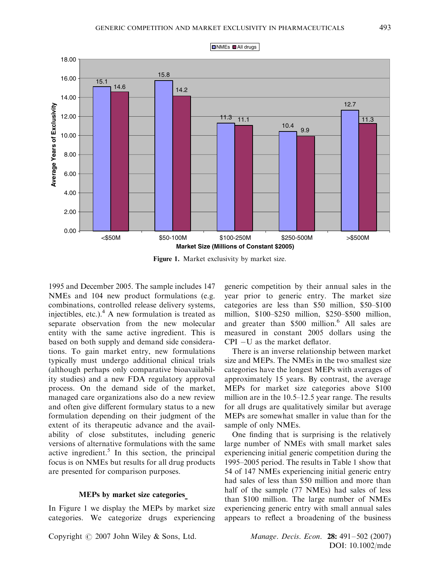

Figure 1. Market exclusivity by market size.

1995 and December 2005. The sample includes 147 NMEs and 104 new product formulations (e.g. combinations, controlled release delivery systems, injectibles, etc.).<sup>4</sup> A new formulation is treated as separate observation from the new molecular entity with the same active ingredient. This is based on both supply and demand side considerations. To gain market entry, new formulations typically must undergo additional clinical trials (although perhaps only comparative bioavailability studies) and a new FDA regulatory approval process. On the demand side of the market, managed care organizations also do a new review and often give different formulary status to a new formulation depending on their judgment of the extent of its therapeutic advance and the availability of close substitutes, including generic versions of alternative formulations with the same active ingredient.<sup>5</sup> In this section, the principal focus is on NMEs but results for all drug products are presented for comparison purposes.

# MEPs by market size categories

In Figure 1 we display the MEPs by market size categories. We categorize drugs experiencing

generic competition by their annual sales in the year prior to generic entry. The market size categories are less than \$50 million, \$50–\$100 million, \$100–\$250 million, \$250–\$500 million, and greater than \$500 million.<sup>6</sup> All sales are measured in constant 2005 dollars using the  $CPI$  –U as the market deflator.

There is an inverse relationship between market size and MEPs. The NMEs in the two smallest size categories have the longest MEPs with averages of approximately 15 years. By contrast, the average MEPs for market size categories above \$100 million are in the 10.5–12.5 year range. The results for all drugs are qualitatively similar but average MEPs are somewhat smaller in value than for the sample of only NMEs.

One finding that is surprising is the relatively large number of NMEs with small market sales experiencing initial generic competition during the 1995–2005 period. The results in Table 1 show that 54 of 147 NMEs experiencing initial generic entry had sales of less than \$50 million and more than half of the sample (77 NMEs) had sales of less than \$100 million. The large number of NMEs experiencing generic entry with small annual sales appears to reflect a broadening of the business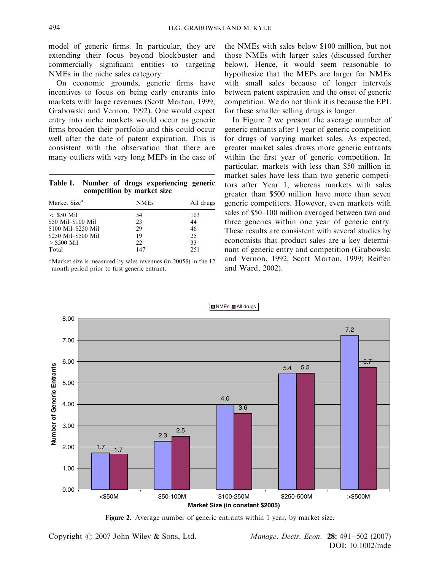model of generic firms. In particular, they are extending their focus beyond blockbuster and commercially significant entities to targeting NMEs in the niche sales category.

On economic grounds, generic firms have incentives to focus on being early entrants into markets with large revenues (Scott Morton, 1999; Grabowski and Vernon, 1992). One would expect entry into niche markets would occur as generic firms broaden their portfolio and this could occur well after the date of patent expiration. This is consistent with the observation that there are many outliers with very long MEPs in the case of

|                            | Table 1. Number of drugs experiencing generic |  |
|----------------------------|-----------------------------------------------|--|
| competition by market size |                                               |  |

| Market Size <sup>a</sup> | <b>NMEs</b> | All drugs |  |
|--------------------------|-------------|-----------|--|
| $<$ \$50 Mil             | 54          | 103       |  |
| \$50 Mil-\$100 Mil       | 23          | 44        |  |
| \$100 Mil-\$250 Mil      | 29          | 46        |  |
| \$250 Mil-\$500 Mil      | 19          | 25        |  |
| $>$ \$500 Mil            | 22.         | 33        |  |
| Total                    | 147         | 251       |  |

<sup>a</sup>Market size is measured by sales revenues (in 2005\$) in the 12 month period prior to first generic entrant.

the NMEs with sales below \$100 million, but not those NMEs with larger sales (discussed further below). Hence, it would seem reasonable to hypothesize that the MEPs are larger for NMEs with small sales because of longer intervals between patent expiration and the onset of generic competition. We do not think it is because the EPL for these smaller selling drugs is longer.

In Figure 2 we present the average number of generic entrants after 1 year of generic competition for drugs of varying market sales. As expected, greater market sales draws more generic entrants within the first year of generic competition. In particular, markets with less than \$50 million in market sales have less than two generic competitors after Year 1, whereas markets with sales greater than \$500 million have more than seven generic competitors. However, even markets with sales of \$50–100 million averaged between two and three generics within one year of generic entry. These results are consistent with several studies by economists that product sales are a key determinant of generic entry and competition (Grabowski and Vernon, 1992; Scott Morton, 1999; Reiffen and Ward, 2002).



Figure 2. Average number of generic entrants within 1 year, by market size.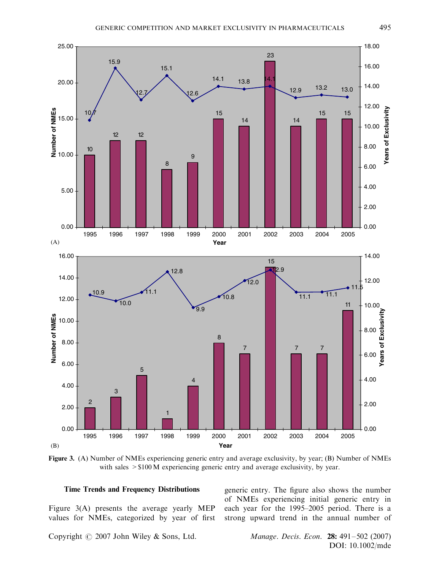

Figure 3. (A) Number of NMEs experiencing generic entry and average exclusivity, by year; (B) Number of NMEs with sales  $> $100$  M experiencing generic entry and average exclusivity, by year.

#### Time Trends and Frequency Distributions

Figure 3(A) presents the average yearly MEP values for NMEs, categorized by year of first generic entry. The figure also shows the number of NMEs experiencing initial generic entry in each year for the 1995–2005 period. There is a strong upward trend in the annual number of

Copyright  $\odot$  2007 John Wiley & Sons, Ltd. Manage. Decis. Econ. 28: 491–502 (2007)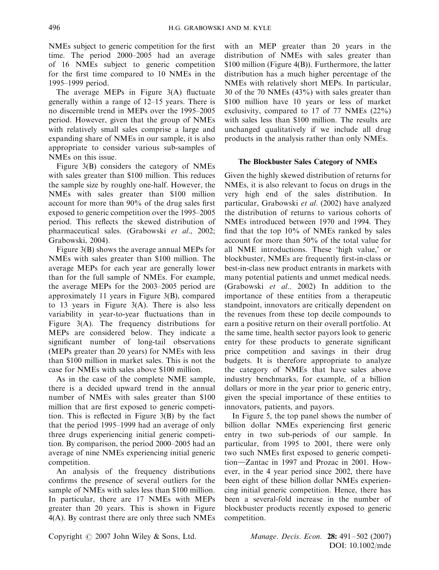NMEs subject to generic competition for the first time. The period 2000–2005 had an average of 16 NMEs subject to generic competition for the first time compared to 10 NMEs in the 1995–1999 period.

The average MEPs in Figure 3(A) fluctuate generally within a range of 12–15 years. There is no discernible trend in MEPs over the 1995–2005 period. However, given that the group of NMEs with relatively small sales comprise a large and expanding share of NMEs in our sample, it is also appropriate to consider various sub-samples of NMEs on this issue.

Figure 3(B) considers the category of NMEs with sales greater than \$100 million. This reduces the sample size by roughly one-half. However, the NMEs with sales greater than \$100 million account for more than 90% of the drug sales first exposed to generic competition over the 1995–2005 period. This reflects the skewed distribution of pharmaceutical sales. (Grabowski et al., 2002; Grabowski, 2004).

Figure 3(B) shows the average annual MEPs for NMEs with sales greater than \$100 million. The average MEPs for each year are generally lower than for the full sample of NMEs. For example, the average MEPs for the 2003–2005 period are approximately 11 years in Figure 3(B), compared to 13 years in Figure 3(A). There is also less variability in year-to-year fluctuations than in Figure 3(A). The frequency distributions for MEPs are considered below. They indicate a significant number of long-tail observations (MEPs greater than 20 years) for NMEs with less than \$100 million in market sales. This is not the case for NMEs with sales above \$100 million.

As in the case of the complete NME sample, there is a decided upward trend in the annual number of NMEs with sales greater than \$100 million that are first exposed to generic competition. This is reflected in Figure 3(B) by the fact that the period 1995–1999 had an average of only three drugs experiencing initial generic competition. By comparison, the period 2000–2005 had an average of nine NMEs experiencing initial generic competition.

An analysis of the frequency distributions confirms the presence of several outliers for the sample of NMEs with sales less than \$100 million. In particular, there are 17 NMEs with MEPs greater than 20 years. This is shown in Figure 4(A). By contrast there are only three such NMEs

with an MEP greater than 20 years in the distribution of NMEs with sales greater than \$100 million (Figure 4(B)). Furthermore, the latter distribution has a much higher percentage of the NMEs with relatively short MEPs. In particular, 30 of the 70 NMEs (43%) with sales greater than \$100 million have 10 years or less of market exclusivity, compared to 17 of 77 NMEs (22%) with sales less than \$100 million. The results are unchanged qualitatively if we include all drug products in the analysis rather than only NMEs.

## The Blockbuster Sales Category of NMEs

Given the highly skewed distribution of returns for NMEs, it is also relevant to focus on drugs in the very high end of the sales distribution. In particular, Grabowski et al. (2002) have analyzed the distribution of returns to various cohorts of NMEs introduced between 1970 and 1994. They find that the top 10% of NMEs ranked by sales account for more than 50% of the total value for all NME introductions. These 'high value,' or blockbuster, NMEs are frequently first-in-class or best-in-class new product entrants in markets with many potential patients and unmet medical needs. (Grabowski et al., 2002) In addition to the importance of these entities from a therapeutic standpoint, innovators are critically dependent on the revenues from these top decile compounds to earn a positive return on their overall portfolio. At the same time, health sector payors look to generic entry for these products to generate significant price competition and savings in their drug budgets. It is therefore appropriate to analyze the category of NMEs that have sales above industry benchmarks, for example, of a billion dollars or more in the year prior to generic entry, given the special importance of these entities to innovators, patients, and payors.

In Figure 5, the top panel shows the number of billion dollar NMEs experiencing first generic entry in two sub-periods of our sample. In particular, from 1995 to 2001, there were only two such NMEs first exposed to generic competition—Zantac in 1997 and Prozac in 2001. However, in the 4 year period since 2002, there have been eight of these billion dollar NMEs experiencing initial generic competition. Hence, there has been a several-fold increase in the number of blockbuster products recently exposed to generic competition.

Copyright  $\odot$  2007 John Wiley & Sons, Ltd. Manage. Decis. Econ. 28: 491–502 (2007)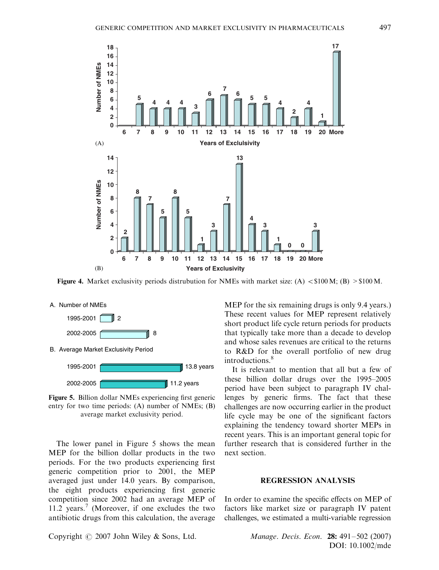

Figure 4. Market exclusivity periods distrubution for NMEs with market size: (A)  $\lt$  \$100 M; (B) > \$100 M.



Figure 5. Billion dollar NMEs experiencing first generic entry for two time periods: (A) number of NMEs; (B) average market exclusivity period.

The lower panel in Figure 5 shows the mean MEP for the billion dollar products in the two periods. For the two products experiencing first generic competition prior to 2001, the MEP averaged just under 14.0 years. By comparison, the eight products experiencing first generic competition since 2002 had an average MEP of 11.2 years.<sup>7</sup> (Moreover, if one excludes the two antibiotic drugs from this calculation, the average MEP for the six remaining drugs is only 9.4 years.) These recent values for MEP represent relatively short product life cycle return periods for products that typically take more than a decade to develop and whose sales revenues are critical to the returns to R&D for the overall portfolio of new drug introductions.<sup>8</sup>

It is relevant to mention that all but a few of these billion dollar drugs over the 1995–2005 period have been subject to paragraph IV challenges by generic firms. The fact that these challenges are now occurring earlier in the product life cycle may be one of the significant factors explaining the tendency toward shorter MEPs in recent years. This is an important general topic for further research that is considered further in the next section.

#### REGRESSION ANALYSIS

In order to examine the specific effects on MEP of factors like market size or paragraph IV patent challenges, we estimated a multi-variable regression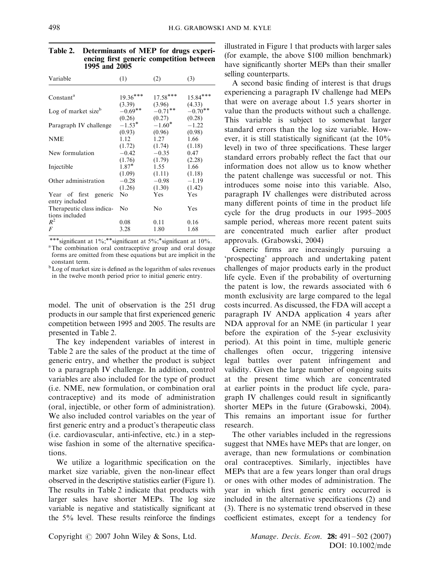| Variable                                    | (1)        | (2)            | (3)        |
|---------------------------------------------|------------|----------------|------------|
|                                             |            |                |            |
| Constant <sup>a</sup>                       | $19.36***$ | $17.58***$     | $15.84***$ |
|                                             | (3.39)     | (3.96)         | (4.33)     |
| Log of market size <sup>b</sup>             | $-0.69**$  | $-0.71$ **     | $-0.70**$  |
|                                             | (0.26)     | (0.27)         | (0.28)     |
| Paragraph IV challenge                      | $-1.53*$   | $-1.60*$       | $-1.22$    |
|                                             | (0.93)     | (0.96)         | (0.98)     |
| <b>NME</b>                                  | 1.12       | 1.27           | 1.66       |
|                                             | (1.72)     | (1.74)         | (1.18)     |
| New formulation                             | $-0.42$    | $-0.35$        | 0.47       |
|                                             | (1.76)     | (1.79)         | (2.28)     |
| Injectible                                  | $1.87*$    | 1.55           | 1.66       |
|                                             | (1.09)     | (1.11)         | (1.18)     |
| Other administration                        | $-0.28$    | $-0.98$        | $-1.19$    |
|                                             | (1.26)     | (1.30)         | (1.42)     |
| Year of first<br>generic                    | No.        | <b>Yes</b>     | <b>Yes</b> |
| entry included                              |            |                |            |
| Therapeutic class indica-<br>tions included | No         | N <sub>0</sub> | Yes        |
| $R^2$                                       | 0.08       | 0.11           | 0.16       |
| $\boldsymbol{F}$                            | 3.28       | 1.80           | 1.68       |

| Table 2. Determinants of MEP for drugs experi- |
|------------------------------------------------|
| encing first generic competition between       |
| 1995 and 2005                                  |

\*\*\*significant at  $1\%$ ;\*\*significant at  $5\%$ ;\*significant at  $10\%$ .

The combination oral contraceptive group and oral dosage forms are omitted from these equations but are implicit in the constant term.

<sup>b</sup>Log of market size is defined as the logarithm of sales revenues in the twelve month period prior to initial generic entry.

model. The unit of observation is the 251 drug products in our sample that first experienced generic competition between 1995 and 2005. The results are presented in Table 2.

The key independent variables of interest in Table 2 are the sales of the product at the time of generic entry, and whether the product is subject to a paragraph IV challenge. In addition, control variables are also included for the type of product (i.e. NME, new formulation, or combination oral contraceptive) and its mode of administration (oral, injectible, or other form of administration). We also included control variables on the year of first generic entry and a product's therapeutic class (i.e. cardiovascular, anti-infective, etc.) in a stepwise fashion in some of the alternative specifications.

We utilize a logarithmic specification on the market size variable, given the non-linear effect observed in the descriptive statistics earlier (Figure 1). The results in Table 2 indicate that products with larger sales have shorter MEPs. The log size variable is negative and statistically significant at the 5% level. These results reinforce the findings illustrated in Figure 1 that products with larger sales (for example, the above \$100 million benchmark) have significantly shorter MEPs than their smaller selling counterparts.

A second basic finding of interest is that drugs experiencing a paragraph IV challenge had MEPs that were on average about 1.5 years shorter in value than the products without such a challenge. This variable is subject to somewhat larger standard errors than the log size variable. However, it is still statistically significant (at the 10% level) in two of three specifications. These larger standard errors probably reflect the fact that our information does not allow us to know whether the patent challenge was successful or not. This introduces some noise into this variable. Also, paragraph IV challenges were distributed across many different points of time in the product life cycle for the drug products in our 1995–2005 sample period, whereas more recent patent suits are concentrated much earlier after product approvals. (Grabowski, 2004)

Generic firms are increasingly pursuing a 'prospecting' approach and undertaking patent challenges of major products early in the product life cycle. Even if the probability of overturning the patent is low, the rewards associated with 6 month exclusivity are large compared to the legal costs incurred. As discussed, the FDA will accept a paragraph IV ANDA application 4 years after NDA approval for an NME (in particular 1 year before the expiration of the 5-year exclusivity period). At this point in time, multiple generic challenges often occur, triggering intensive legal battles over patent infringement and validity. Given the large number of ongoing suits at the present time which are concentrated at earlier points in the product life cycle, paragraph IV challenges could result in significantly shorter MEPs in the future (Grabowski, 2004). This remains an important issue for further research.

The other variables included in the regressions suggest that NMEs have MEPs that are longer, on average, than new formulations or combination oral contraceptives. Similarly, injectibles have MEPs that are a few years longer than oral drugs or ones with other modes of administration. The year in which first generic entry occurred is included in the alternative specifications (2) and (3). There is no systematic trend observed in these coefficient estimates, except for a tendency for

Copyright  $\odot$  2007 John Wiley & Sons, Ltd. Manage. Decis. Econ. 28: 491–502 (2007)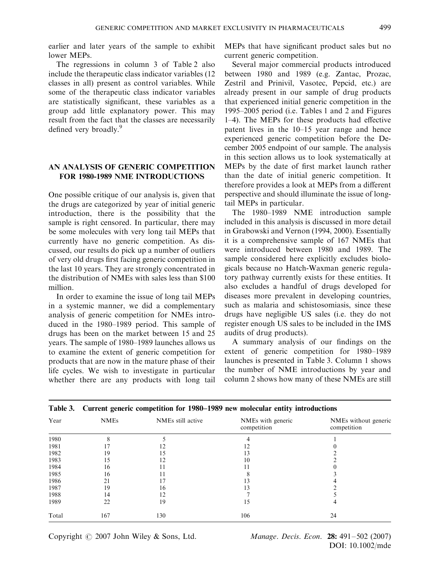earlier and later years of the sample to exhibit lower MEPs.

The regressions in column 3 of Table 2 also include the therapeutic class indicator variables (12 classes in all) present as control variables. While some of the therapeutic class indicator variables are statistically significant, these variables as a group add little explanatory power. This may result from the fact that the classes are necessarily defined very broadly.<sup>9</sup>

# AN ANALYSIS OF GENERIC COMPETITION FOR 1980-1989 NME INTRODUCTIONS

One possible critique of our analysis is, given that the drugs are categorized by year of initial generic introduction, there is the possibility that the sample is right censored. In particular, there may be some molecules with very long tail MEPs that currently have no generic competition. As discussed, our results do pick up a number of outliers of very old drugs first facing generic competition in the last 10 years. They are strongly concentrated in the distribution of NMEs with sales less than \$100 million.

In order to examine the issue of long tail MEPs in a systemic manner, we did a complementary analysis of generic competition for NMEs introduced in the 1980–1989 period. This sample of drugs has been on the market between 15 and 25 years. The sample of 1980–1989 launches allows us to examine the extent of generic competition for products that are now in the mature phase of their life cycles. We wish to investigate in particular whether there are any products with long tail

MEPs that have significant product sales but no current generic competition.

Several major commercial products introduced between 1980 and 1989 (e.g. Zantac, Prozac, Zestril and Prinivil, Vasotec, Pepcid, etc.) are already present in our sample of drug products that experienced initial generic competition in the 1995–2005 period (i.e. Tables 1 and 2 and Figures 1–4). The MEPs for these products had effective patent lives in the 10–15 year range and hence experienced generic competition before the December 2005 endpoint of our sample. The analysis in this section allows us to look systematically at MEPs by the date of first market launch rather than the date of initial generic competition. It therefore provides a look at MEPs from a different perspective and should illuminate the issue of longtail MEPs in particular.

The 1980–1989 NME introduction sample included in this analysis is discussed in more detail in Grabowski and Vernon (1994, 2000). Essentially it is a comprehensive sample of 167 NMEs that were introduced between 1980 and 1989. The sample considered here explicitly excludes biologicals because no Hatch-Waxman generic regulatory pathway currently exists for these entities. It also excludes a handful of drugs developed for diseases more prevalent in developing countries, such as malaria and schistosomiasis, since these drugs have negligible US sales (i.e. they do not register enough US sales to be included in the IMS audits of drug products).

A summary analysis of our findings on the extent of generic competition for 1980–1989 launches is presented in Table 3. Column 1 shows the number of NME introductions by year and column 2 shows how many of these NMEs are still

|       | ≕ .<br>----- ----- <i>--</i> |                   |                                  |                                     |  |
|-------|------------------------------|-------------------|----------------------------------|-------------------------------------|--|
| Year  | <b>NMEs</b>                  | NMEs still active | NMEs with generic<br>competition | NMEs without generic<br>competition |  |
| 1980  | δ                            |                   |                                  |                                     |  |
| 1981  |                              |                   |                                  |                                     |  |
| 1982  | 19                           | 15                | 13                               |                                     |  |
| 1983  | 15                           | 12                | 10                               |                                     |  |
| 1984  | 16                           |                   |                                  |                                     |  |
| 1985  | 16                           |                   |                                  |                                     |  |
| 1986  | 21                           |                   | 13                               |                                     |  |
| 1987  | 19                           | 16                | 13                               |                                     |  |
| 1988  | 14                           | 12                |                                  |                                     |  |
| 1989  | 22                           | 19                | 15                               | 4                                   |  |
| Total | 167                          | 130               | 106                              | 24                                  |  |

Table 3. Current generic competition for 1980–1989 new molecular entity introductions

Copyright  $\odot$  2007 John Wiley & Sons, Ltd. Manage. Decis. Econ. 28: 491–502 (2007)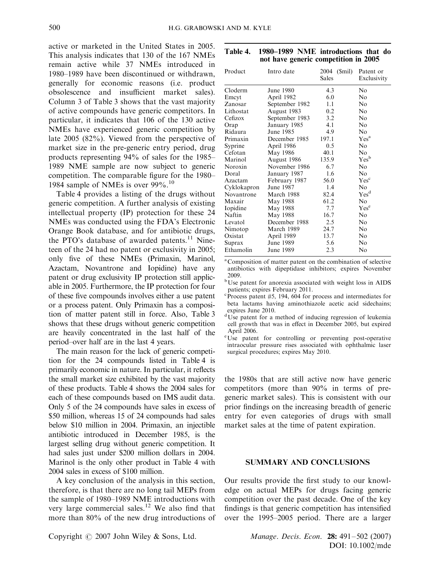active or marketed in the United States in 2005. This analysis indicates that 130 of the 167 NMEs remain active while 37 NMEs introduced in 1980–1989 have been discontinued or withdrawn, generally for economic reasons (i.e. product obsolescence and insufficient market sales). Column 3 of Table 3 shows that the vast majority of active compounds have generic competitors. In particular, it indicates that 106 of the 130 active NMEs have experienced generic competition by late 2005 (82%). Viewed from the perspective of market size in the pre-generic entry period, drug products representing 94% of sales for the 1985– 1989 NME sample are now subject to generic competition. The comparable figure for the 1980– 1984 sample of NMEs is over 99%.<sup>10</sup>

Table 4 provides a listing of the drugs without generic competition. A further analysis of existing intellectual property (IP) protection for these 24 NMEs was conducted using the FDA's Electronic Orange Book database, and for antibiotic drugs, the PTO's database of awarded patents.<sup>11</sup> Nineteen of the 24 had no patent or exclusivity in 2005; only five of these NMEs (Primaxin, Marinol, Azactam, Novantrone and Iopidine) have any patent or drug exclusivity IP protection still applicable in 2005. Furthermore, the IP protection for four of these five compounds involves either a use patent or a process patent. Only Primaxin has a composition of matter patent still in force. Also, Table 3 shows that these drugs without generic competition are heavily concentrated in the last half of the period–over half are in the last 4 years.

The main reason for the lack of generic competition for the 24 compounds listed in Table 4 is primarily economic in nature. In particular, it reflects the small market size exhibited by the vast majority of these products. Table 4 shows the 2004 sales for each of these compounds based on IMS audit data. Only 5 of the 24 compounds have sales in excess of \$50 million, whereas 15 of 24 compounds had sales below \$10 million in 2004. Primaxin, an injectible antibiotic introduced in December 1985, is the largest selling drug without generic competition. It had sales just under \$200 million dollars in 2004. Marinol is the only other product in Table 4 with 2004 sales in excess of \$100 million.

A key conclusion of the analysis in this section, therefore, is that there are no long tail MEPs from the sample of 1980–1989 NME introductions with very large commercial sales.<sup>12</sup> We also find that more than 80% of the new drug introductions of Table 4. 1980–1989 NME introductions that do not have generic competition in 2005

| Product     | Intro date     | 2004<br>(Smil)<br>Sales | Patent or<br>Exclusivity |
|-------------|----------------|-------------------------|--------------------------|
| Cloderm     | June 1980      | 4.3                     | No                       |
| Emcyt       | April 1982     | 6.0                     | No                       |
| Zanosar     | September 1982 | 1.1                     | No                       |
| Lithostat   | August 1983    | 0.2                     | No                       |
| Cefizox     | September 1983 | 3.2                     | No                       |
| Orap        | January 1985   | 4.1                     | No                       |
| Ridaura     | June 1985      | 4.9                     | No                       |
| Primaxin    | December 1985  | 197.1                   | Yes <sup>a</sup>         |
| Syprine     | April 1986     | $0.5^{\circ}$           | No                       |
| Cefotan     | May 1986       | 40.1                    | N <sub>0</sub>           |
| Marinol     | August 1986    | 135.9                   | Yes <sup>b</sup>         |
| Noroxin     | November 1986  | 6.7                     | No                       |
| Doral       | January 1987   | 1.6                     | No                       |
| Azactam     | February 1987  | 56.0                    | Yes <sup>c</sup>         |
| Cyklokapron | June 1987      | 1.4                     | N <sub>0</sub>           |
| Novantrone  | March 1988     | 82.4                    | Yes <sup>d</sup>         |
| Maxair      | May 1988       | 61.2                    | N <sub>o</sub>           |
| Iopidine    | May 1988       | 7.7                     | Yes <sup>e</sup>         |
| Naftin      | May 1988       | 16.7                    | No                       |
| Levatol     | December 1988  | 2.5                     | No                       |
| Nimotop     | March 1989     | 24.7                    | No                       |
| Oxistat     | April 1989     | 13.7                    | No                       |
| Suprax      | June 1989      | 5.6                     | No                       |
| Ethamolin   | June 1989      | 2.3                     | No                       |

a Composition of matter patent on the combination of selective antibiotics with dipeptidase inhibitors; expires November 2009.

bUse patent for anorexia associated with weight loss in AIDS patients; expires February 2011.

 $\rm\degree P$ rocess patent #5, 194, 604 for process and intermediates for beta lactams having aminothiazole acetic acid sidechains; expires June 2010.

<sup>d</sup>Use patent for a method of inducing regression of leukemia cell growth that was in effect in December 2005, but expired April 2006.

<sup>e</sup>Use patent for controlling or preventing post-operative intraocular pressure rises associated with ophthalmic laser surgical procedures; expires May 2010.

the 1980s that are still active now have generic competitors (more than 90% in terms of pregeneric market sales). This is consistent with our prior findings on the increasing breadth of generic entry for even categories of drugs with small market sales at the time of patent expiration.

## SUMMARY AND CONCLUSIONS

Our results provide the first study to our knowledge on actual MEPs for drugs facing generic competition over the past decade. One of the key findings is that generic competition has intensified over the 1995–2005 period. There are a larger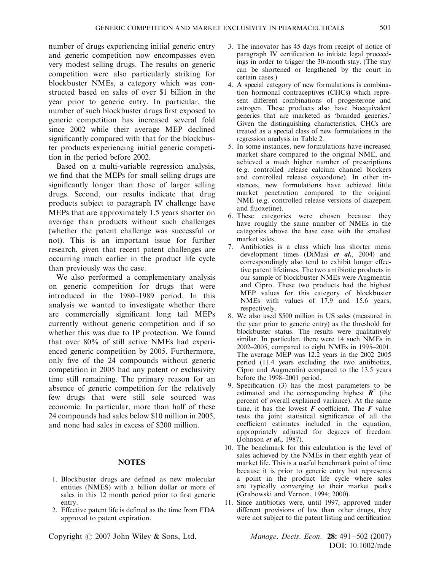number of drugs experiencing initial generic entry and generic competition now encompasses even very modest selling drugs. The results on generic competition were also particularly striking for blockbuster NMEs, a category which was constructed based on sales of over \$1 billion in the year prior to generic entry. In particular, the number of such blockbuster drugs first exposed to generic competition has increased several fold since 2002 while their average MEP declined significantly compared with that for the blockbuster products experiencing initial generic competition in the period before 2002.

Based on a multi-variable regression analysis, we find that the MEPs for small selling drugs are significantly longer than those of larger selling drugs. Second, our results indicate that drug products subject to paragraph IV challenge have MEPs that are approximately 1.5 years shorter on average than products without such challenges (whether the patent challenge was successful or not). This is an important issue for further research, given that recent patent challenges are occurring much earlier in the product life cycle than previously was the case.

We also performed a complementary analysis on generic competition for drugs that were introduced in the 1980–1989 period. In this analysis we wanted to investigate whether there are commercially significant long tail MEPs currently without generic competition and if so whether this was due to IP protection. We found that over 80% of still active NMEs had experienced generic competition by 2005. Furthermore, only five of the 24 compounds without generic competition in 2005 had any patent or exclusivity time still remaining. The primary reason for an absence of generic competition for the relatively few drugs that were still sole sourced was economic. In particular, more than half of these 24 compounds had sales below \$10 million in 2005, and none had sales in excess of \$200 million.

## **NOTES**

- 1. Blockbuster drugs are defined as new molecular entities (NMES) with a billion dollar or more of sales in this 12 month period prior to first generic entry.
- 2. Effective patent life is defined as the time from FDA approval to patent expiration.
- 3. The innovator has 45 days from receipt of notice of paragraph IV certification to initiate legal proceedings in order to trigger the 30-month stay. (The stay can be shortened or lengthened by the court in certain cases.)
- 4. A special category of new formulations is combination hormonal contraceptives (CHCs) which represent different combinations of progesterone and estrogen. These products also have bioequivalent generics that are marketed as 'branded generics.' Given the distinguishing characteristics, CHCs are treated as a special class of new formulations in the regression analysis in Table 2.
- 5. In some instances, new formulations have increased market share compared to the original NME, and achieved a much higher number of prescriptions (e.g. controlled release calcium channel blockers and controlled release oxycodone). In other instances, new formulations have achieved little market penetration compared to the original NME (e.g. controlled release versions of diazepem and fluoxetine).
- 6. These categories were chosen because they have roughly the same number of NMEs in the categories above the base case with the smallest market sales.
- 7. Antibiotics is a class which has shorter mean development times (DiMasi *et al.*, 2004) and correspondingly also tend to exhibit longer effective patent lifetimes. The two antibiotic products in our sample of blockbuster NMEs were Augmentin and Cipro. These two products had the highest MEP values for this category of blockbuster NMEs with values of 17.9 and 15.6 years, respectively.
- 8. We also used \$500 million in US sales (measured in the year prior to generic entry) as the threshold for blockbuster status. The results were qualitatively similar. In particular, there were 14 such NMEs in 2002–2005, compared to eight NMEs in 1995–2001. The average MEP was 12.2 years in the 2002–2005 period (11.4 years excluding the two antibiotics, Cipro and Augmentin) compared to the 13.5 years before the 1998–2001 period.
- 9. Specification (3) has the most parameters to be estimated and the corresponding highest  $\mathbb{R}^2$  (the percent of overall explained variance). At the same time, it has the lowest  $\boldsymbol{F}$  coefficient. The  $\boldsymbol{F}$  value tests the joint statistical significance of all the coefficient estimates included in the equation, appropriately adjusted for degrees of freedom (Johnson *et al.*, 1987).
- 10. The benchmark for this calculation is the level of sales achieved by the NMEs in their eighth year of market life. This is a useful benchmark point of time because it is prior to generic entry but represents a point in the product life cycle where sales are typically converging to their market peaks (Grabowski and Vernon, 1994; 2000).
- 11. Since antibiotics were, until 1997, approved under different provisions of law than other drugs, they were not subject to the patent listing and certification